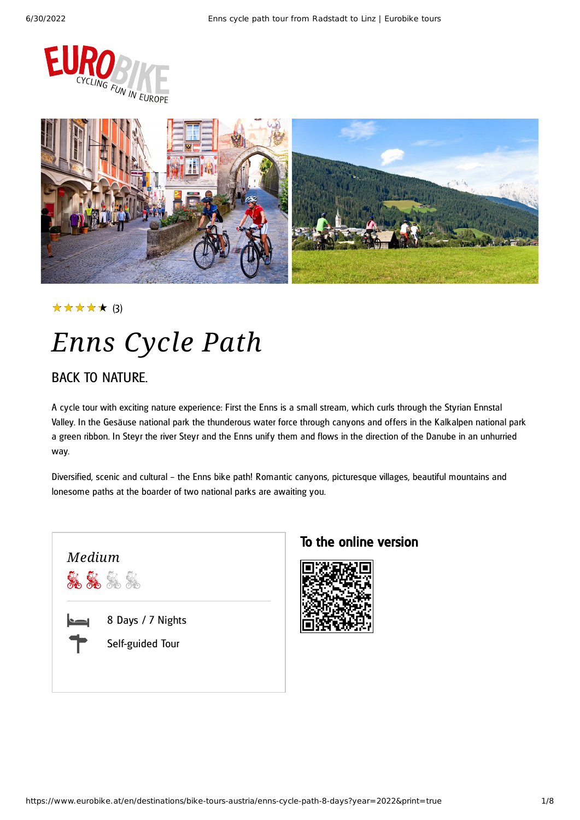



#### ★★★★★ (3)

# *Enns Cycle Path*

### BACK TO NATURE.

A cycle tour with exciting nature experience: First the Enns is a small stream, which curls through the Styrian Ennstal Valley. In the Gesäuse national park the thunderous water force through canyons and offers in the Kalkalpen national park a green ribbon. In Steyr the river Steyr and the Enns unify them and flows in the direction of the Danube in an unhurried way.

Diversified, scenic and cultural – the Enns bike path! Romantic canyons, picturesque villages, beautiful mountains and lonesome paths at the boarder of two national parks are awaiting you.



### To the online version

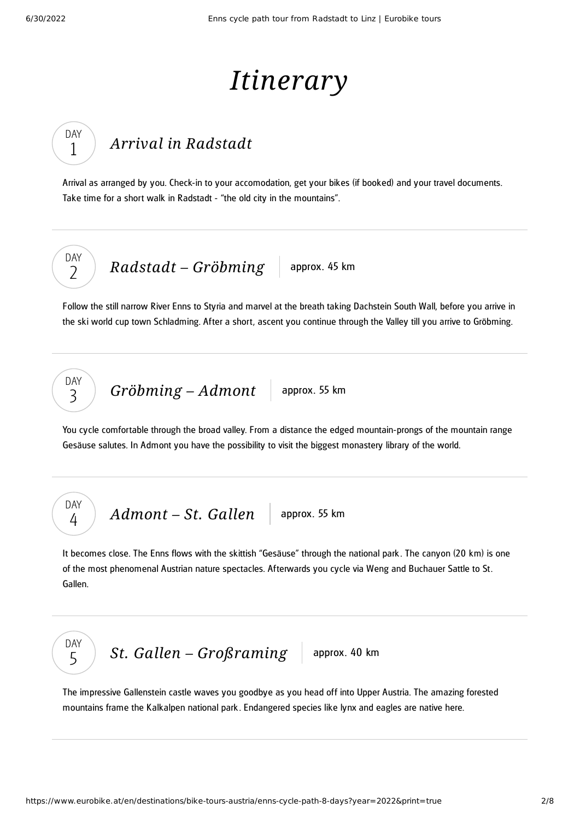# *Itinerary*

## *Arrival in [Radstadt](#page-1-0)*

<span id="page-1-0"></span>Arrival as arranged by you. Check-in to your accomodation, get your bikes (if booked) and your travel documents. Take time for a short walk in Radstadt - "the old city in the mountains".

DAY  $\overline{\phantom{0}}$ 

DAY 1

*Radstadt* – *[Gröbming](#page-1-1)* approx. 45 km

<span id="page-1-1"></span>Follow the still narrow River Enns to Styria and marvel at the breath taking Dachstein South Wall, before you arrive in the ski world cup town Schladming. After a short, ascent you continue through the Valley till you arrive to Gröbming.

DAY 3

> DAY 4

*[Gröbming](#page-1-2)* – *Admont* approx. 55 km

<span id="page-1-2"></span>You cycle comfortable through the broad valley. From a distance the edged mountain-prongs of the mountain range Gesäuse salutes. In Admont you have the possibility to visit the biggest monastery library of the world.

*[Admont](#page-1-3)* – St. Gallen approx. 55 km

<span id="page-1-3"></span>It becomes close. The Enns flows with the skittish "Gesäuse" through the national park . The canyon (20 km) is one of the most phenomenal Austrian nature spectacles. Afterwards you cycle via Weng and Buchauer Sattle to St. Gallen.



*St. Gallen – [Großraming](#page-1-4)* approx. 40 km

<span id="page-1-4"></span>The impressive Gallenstein castle waves you goodbye as you head off into Upper Austria. The amazing forested mountains frame the Kalkalpen national park . Endangered species like lynx and eagles are native here.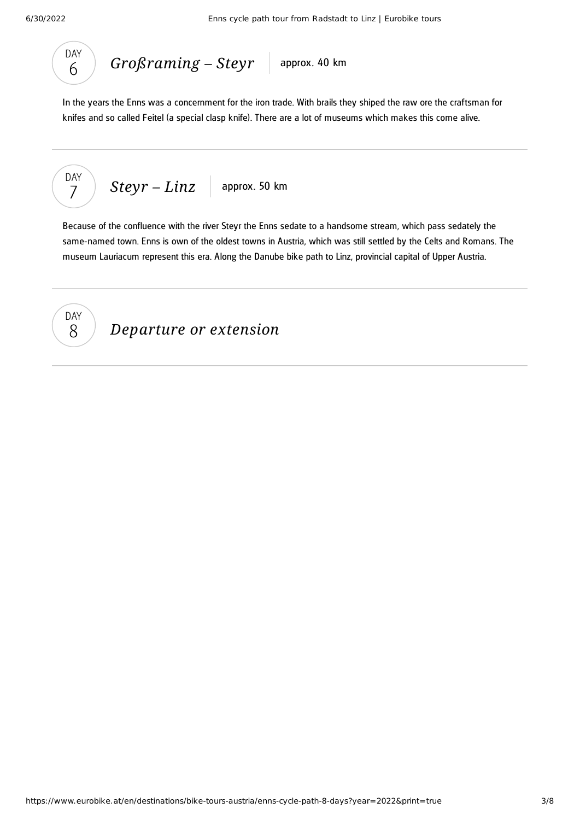



<span id="page-2-0"></span>In the years the Enns was a concernment for the iron trade. With brails they shiped the raw ore the craftsman for knifes and so called Feitel (a special clasp knife). There are a lot of museums which makes this come alive.

$$
\begin{array}{|c|c|c|c|}\n\hline\n\text{DAY} & \text{Stepr} - Linz & \text{approx. 50 km} \\
\hline\n\end{array}
$$

<span id="page-2-1"></span>Because of the confluence with the river Steyr the Enns sedate to a handsome stream, which pass sedately the same-named town. Enns is own of the oldest towns in Austria, which was still settled by the Celts and Romans. The museum Lauriacum represent this era. Along the Danube bike path to Linz, provincial capital of Upper Austria.



*Departure or extension*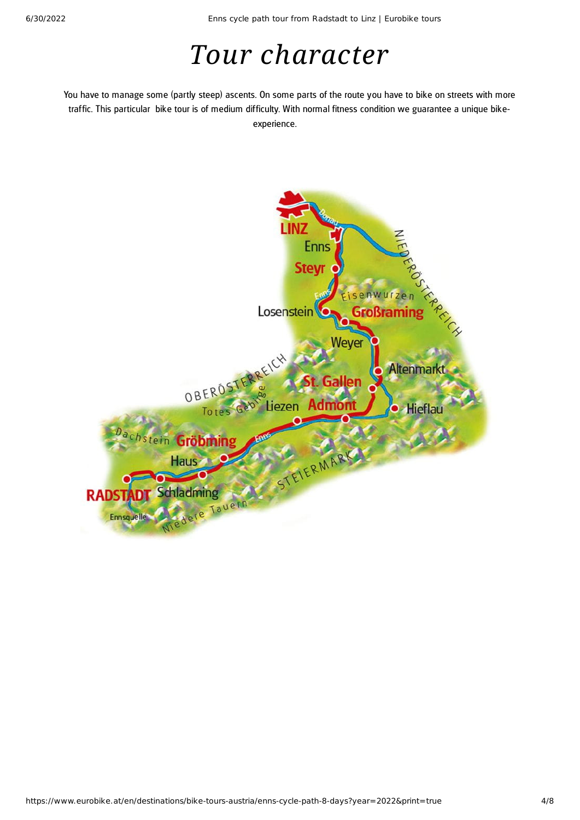## *Tour character*

You have to manage some (partly steep) ascents. On some parts of the route you have to bike on streets with more traffic. This particular bike tour is of medium difficulty. With normal fitness condition we guarantee a unique bikeexperience.

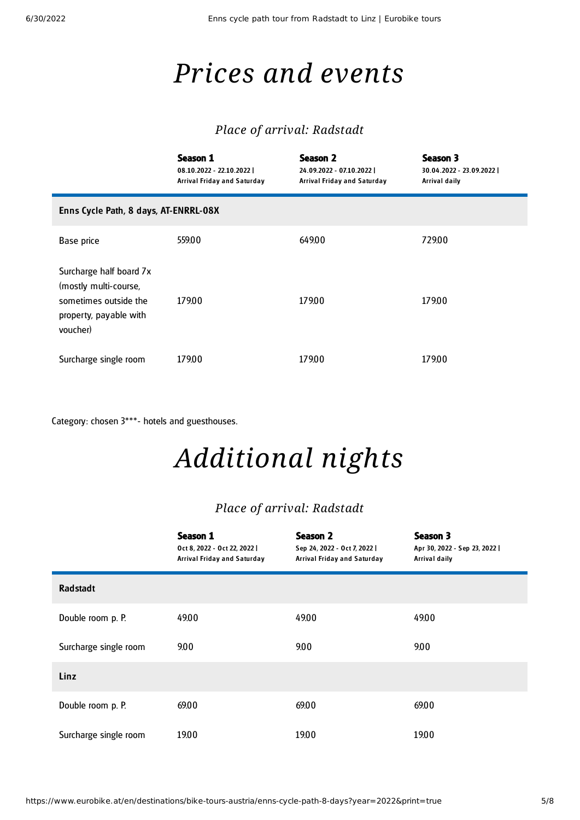## *Prices and events*

#### *Place of arrival: Radstadt*

|                                                                                                                 | Season 1<br>08.10.2022 - 22.10.2022  <br>Arrival Friday and Saturday | Season 2<br>24.09.2022 - 07.10.2022  <br>Arrival Friday and Saturday | Season 3<br>30.04.2022 - 23.09.2022  <br>Arrival daily |  |  |
|-----------------------------------------------------------------------------------------------------------------|----------------------------------------------------------------------|----------------------------------------------------------------------|--------------------------------------------------------|--|--|
| Enns Cycle Path, 8 days, AT-ENRRL-08X                                                                           |                                                                      |                                                                      |                                                        |  |  |
| Base price                                                                                                      | 559.00                                                               | 649.00                                                               | 729.00                                                 |  |  |
| Surcharge half board 7x<br>(mostly multi-course,<br>sometimes outside the<br>property, payable with<br>voucher) | 179.00                                                               | 179.00                                                               | 17900                                                  |  |  |
| Surcharge single room                                                                                           | 179.00                                                               | 179.00                                                               | 179.00                                                 |  |  |

Category: chosen 3\*\*\*- hotels and guesthouses.

# *Additional nights*

### *Place of arrival: Radstadt*

|                       | Season 1<br>Oct 8, 2022 - Oct 22, 2022  <br>Arrival Friday and Saturday | Season 2<br>Sep 24, 2022 - Oct 7, 2022  <br>Arrival Friday and Saturday | Season 3<br>Apr 30, 2022 - Sep 23, 2022  <br>Arrival daily |
|-----------------------|-------------------------------------------------------------------------|-------------------------------------------------------------------------|------------------------------------------------------------|
| <b>Radstadt</b>       |                                                                         |                                                                         |                                                            |
| Double room p. P.     | 49.00                                                                   | 49.00                                                                   | 49.00                                                      |
| Surcharge single room | 9.00                                                                    | 9.00                                                                    | 9.00                                                       |
| Linz                  |                                                                         |                                                                         |                                                            |
| Double room p. P.     | 69.00                                                                   | 69.00                                                                   | 69.00                                                      |
| Surcharge single room | 19.00                                                                   | 19.00                                                                   | 19.00                                                      |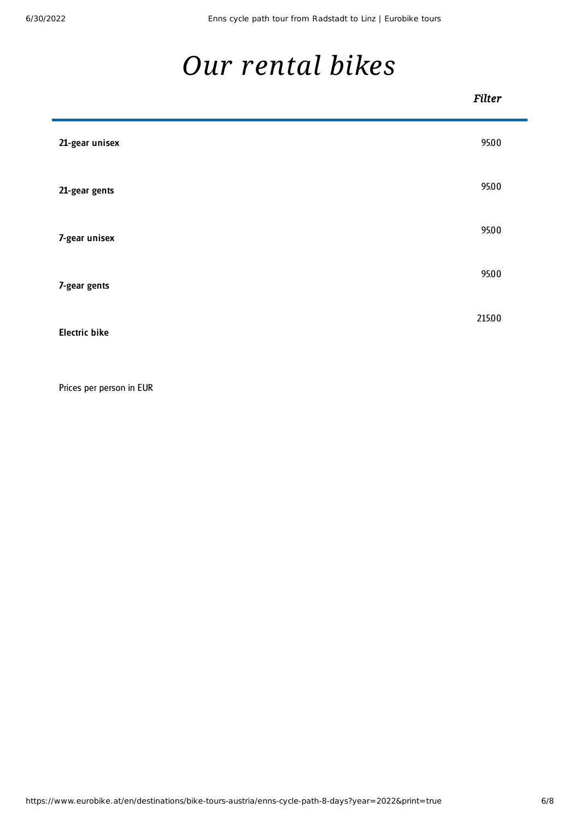F

## *Our [rental](#page-5-0) bikes*

<span id="page-5-0"></span>

|                      | <b>Filter</b> |
|----------------------|---------------|
| 21-gear unisex       | 95.00         |
| 21-gear gents        | 95.00         |
| 7-gear unisex        | 95.00         |
| 7-gear gents         | 95.00         |
| <b>Electric bike</b> | 215.00        |

Prices per person in EUR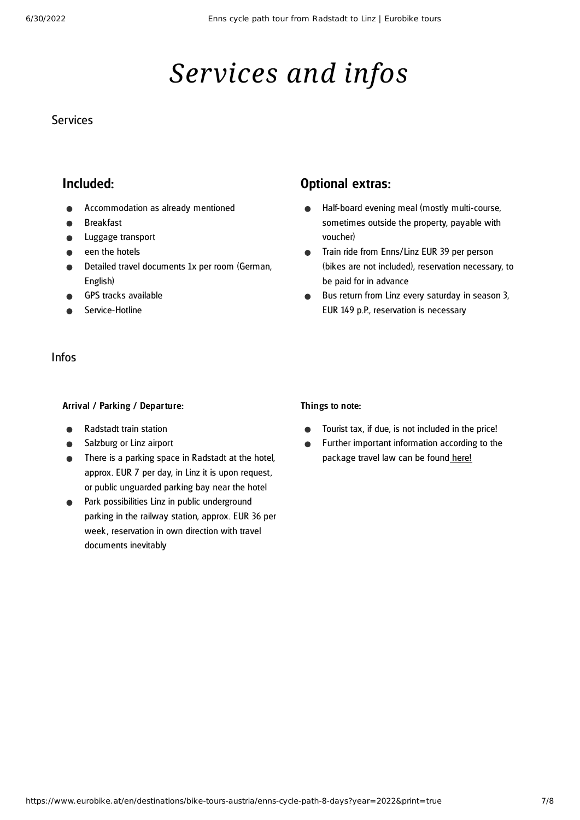# *Services and infos*

#### **Services**

#### Included:

- Accommodation as already mentioned
- Breakfast
- Luggage transport
- een the hotels
- Detailed travel documents 1x per room (German, English)
- GPS tracks available
- Service-Hotline

#### Infos

#### Arrival / Parking / Departure:

- Radstadt train station
- Salzburg or Linz airport  $\bullet$
- There is a parking space in Radstadt at the hotel, approx. EUR 7 per day, in Linz it is upon request, or public unguarded parking bay near the hotel
- Park possibilities Linz in public underground parking in the railway station, approx. EUR 36 per week , reservation in own direction with travel documents inevitably

### Optional extras:

- Half-board evening meal (mostly multi-course,  $\bullet$ sometimes outside the property, payable with voucher)
- Train ride from Enns/Linz EUR 39 per person  $\bullet$ (bikes are not included), reservation necessary, to be paid for in advance
- Bus return from Linz every saturday in season 3,  $\bullet$ EUR 149 p.P., reservation is necessary

#### Things to note:

- Tourist tax, if due, is not included in the price!
- Further important information according to the  $\bullet$ package travel law can be found [here](https://www.eurobike.at/en/travel-information/before-the-tour/pci)!